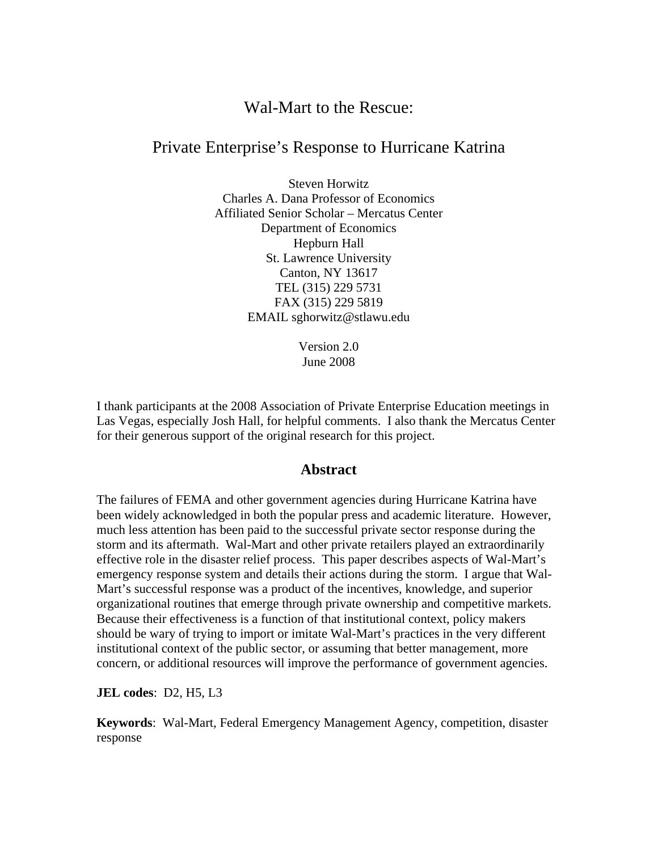# Wal-Mart to the Rescue:

# Private Enterprise's Response to Hurricane Katrina

Steven Horwitz Charles A. Dana Professor of Economics Affiliated Senior Scholar – Mercatus Center Department of Economics Hepburn Hall St. Lawrence University Canton, NY 13617 TEL (315) 229 5731 FAX (315) 229 5819 EMAIL sghorwitz@stlawu.edu

> Version 2.0 June 2008

I thank participants at the 2008 Association of Private Enterprise Education meetings in Las Vegas, especially Josh Hall, for helpful comments. I also thank the Mercatus Center for their generous support of the original research for this project.

## **Abstract**

The failures of FEMA and other government agencies during Hurricane Katrina have been widely acknowledged in both the popular press and academic literature. However, much less attention has been paid to the successful private sector response during the storm and its aftermath. Wal-Mart and other private retailers played an extraordinarily effective role in the disaster relief process. This paper describes aspects of Wal-Mart's emergency response system and details their actions during the storm. I argue that Wal-Mart's successful response was a product of the incentives, knowledge, and superior organizational routines that emerge through private ownership and competitive markets. Because their effectiveness is a function of that institutional context, policy makers should be wary of trying to import or imitate Wal-Mart's practices in the very different institutional context of the public sector, or assuming that better management, more concern, or additional resources will improve the performance of government agencies.

**JEL codes**: D2, H5, L3

**Keywords**: Wal-Mart, Federal Emergency Management Agency, competition, disaster response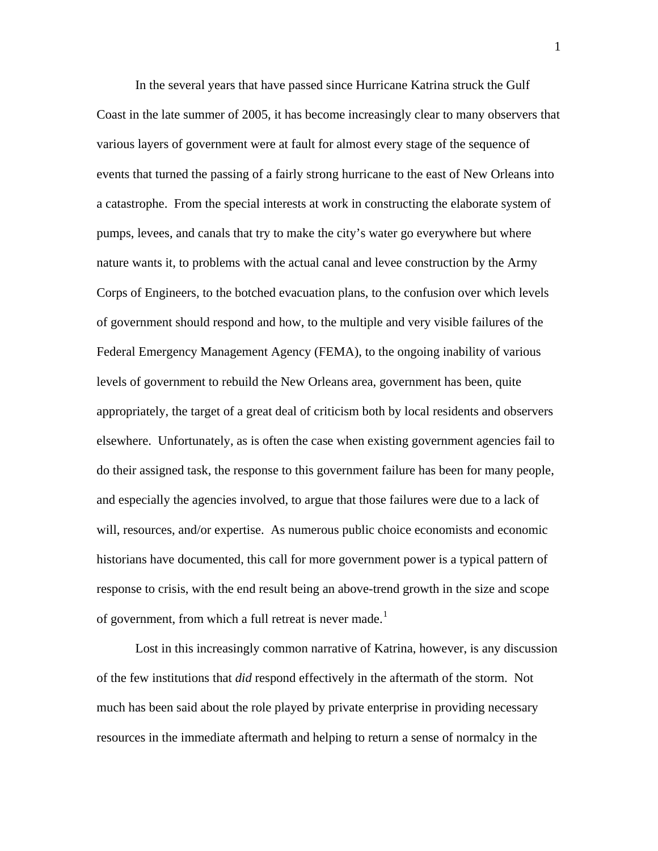In the several years that have passed since Hurricane Katrina struck the Gulf Coast in the late summer of 2005, it has become increasingly clear to many observers that various layers of government were at fault for almost every stage of the sequence of events that turned the passing of a fairly strong hurricane to the east of New Orleans into a catastrophe. From the special interests at work in constructing the elaborate system of pumps, levees, and canals that try to make the city's water go everywhere but where nature wants it, to problems with the actual canal and levee construction by the Army Corps of Engineers, to the botched evacuation plans, to the confusion over which levels of government should respond and how, to the multiple and very visible failures of the Federal Emergency Management Agency (FEMA), to the ongoing inability of various levels of government to rebuild the New Orleans area, government has been, quite appropriately, the target of a great deal of criticism both by local residents and observers elsewhere. Unfortunately, as is often the case when existing government agencies fail to do their assigned task, the response to this government failure has been for many people, and especially the agencies involved, to argue that those failures were due to a lack of will, resources, and/or expertise. As numerous public choice economists and economic historians have documented, this call for more government power is a typical pattern of response to crisis, with the end result being an above-trend growth in the size and scope of government, from which a full retreat is never made.<sup>[1](#page-32-0)</sup>

Lost in this increasingly common narrative of Katrina, however, is any discussion of the few institutions that *did* respond effectively in the aftermath of the storm. Not much has been said about the role played by private enterprise in providing necessary resources in the immediate aftermath and helping to return a sense of normalcy in the

1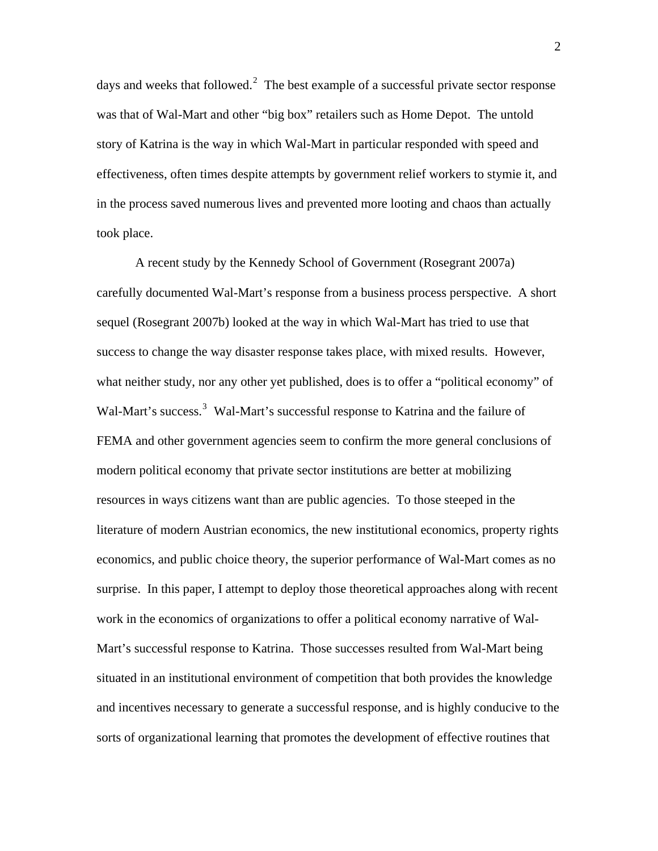days and weeks that followed.<sup>[2](#page-32-1)</sup> The best example of a successful private sector response was that of Wal-Mart and other "big box" retailers such as Home Depot. The untold story of Katrina is the way in which Wal-Mart in particular responded with speed and effectiveness, often times despite attempts by government relief workers to stymie it, and in the process saved numerous lives and prevented more looting and chaos than actually took place.

A recent study by the Kennedy School of Government (Rosegrant 2007a) carefully documented Wal-Mart's response from a business process perspective. A short sequel (Rosegrant 2007b) looked at the way in which Wal-Mart has tried to use that success to change the way disaster response takes place, with mixed results. However, what neither study, nor any other yet published, does is to offer a "political economy" of Wal-Mart's success.<sup>[3](#page-32-1)</sup> Wal-Mart's successful response to Katrina and the failure of FEMA and other government agencies seem to confirm the more general conclusions of modern political economy that private sector institutions are better at mobilizing resources in ways citizens want than are public agencies. To those steeped in the literature of modern Austrian economics, the new institutional economics, property rights economics, and public choice theory, the superior performance of Wal-Mart comes as no surprise. In this paper, I attempt to deploy those theoretical approaches along with recent work in the economics of organizations to offer a political economy narrative of Wal-Mart's successful response to Katrina. Those successes resulted from Wal-Mart being situated in an institutional environment of competition that both provides the knowledge and incentives necessary to generate a successful response, and is highly conducive to the sorts of organizational learning that promotes the development of effective routines that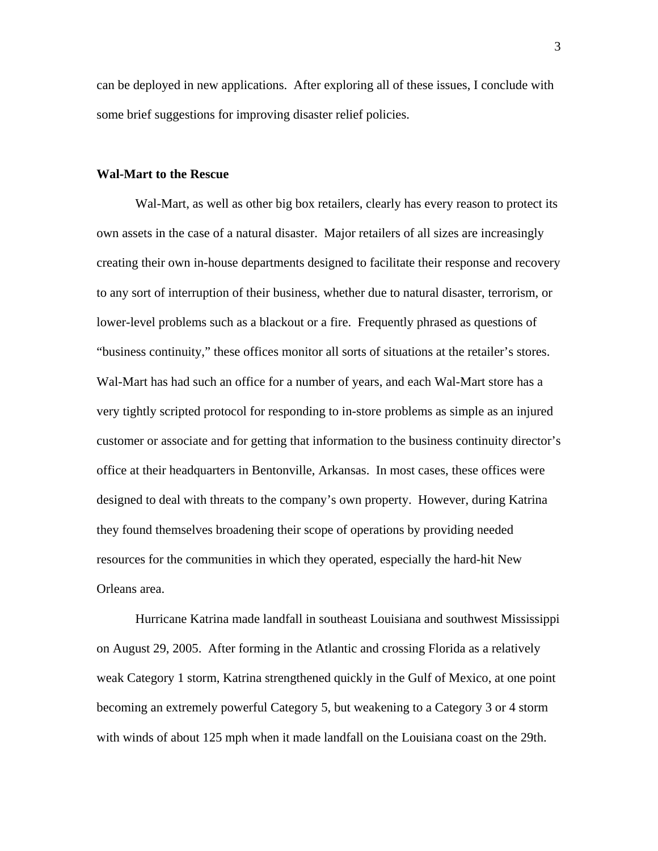can be deployed in new applications. After exploring all of these issues, I conclude with some brief suggestions for improving disaster relief policies.

### **Wal-Mart to the Rescue**

Wal-Mart, as well as other big box retailers, clearly has every reason to protect its own assets in the case of a natural disaster. Major retailers of all sizes are increasingly creating their own in-house departments designed to facilitate their response and recovery to any sort of interruption of their business, whether due to natural disaster, terrorism, or lower-level problems such as a blackout or a fire. Frequently phrased as questions of "business continuity," these offices monitor all sorts of situations at the retailer's stores. Wal-Mart has had such an office for a number of years, and each Wal-Mart store has a very tightly scripted protocol for responding to in-store problems as simple as an injured customer or associate and for getting that information to the business continuity director's office at their headquarters in Bentonville, Arkansas. In most cases, these offices were designed to deal with threats to the company's own property. However, during Katrina they found themselves broadening their scope of operations by providing needed resources for the communities in which they operated, especially the hard-hit New Orleans area.

Hurricane Katrina made landfall in southeast Louisiana and southwest Mississippi on August 29, 2005. After forming in the Atlantic and crossing Florida as a relatively weak Category 1 storm, Katrina strengthened quickly in the Gulf of Mexico, at one point becoming an extremely powerful Category 5, but weakening to a Category 3 or 4 storm with winds of about 125 mph when it made landfall on the Louisiana coast on the 29th.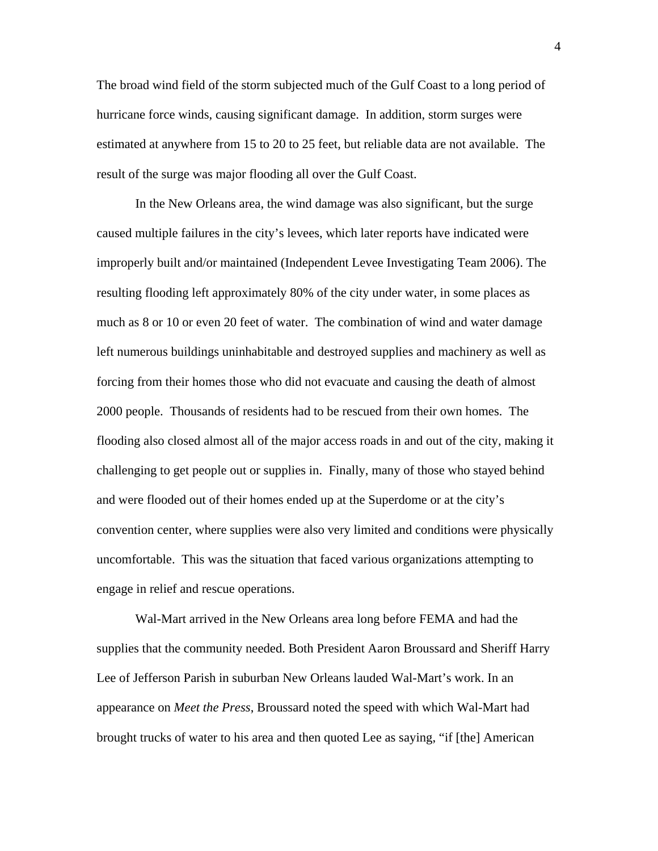The broad wind field of the storm subjected much of the Gulf Coast to a long period of hurricane force winds, causing significant damage. In addition, storm surges were estimated at anywhere from 15 to 20 to 25 feet, but reliable data are not available. The result of the surge was major flooding all over the Gulf Coast.

In the New Orleans area, the wind damage was also significant, but the surge caused multiple failures in the city's levees, which later reports have indicated were improperly built and/or maintained (Independent Levee Investigating Team 2006). The resulting flooding left approximately 80% of the city under water, in some places as much as 8 or 10 or even 20 feet of water. The combination of wind and water damage left numerous buildings uninhabitable and destroyed supplies and machinery as well as forcing from their homes those who did not evacuate and causing the death of almost 2000 people. Thousands of residents had to be rescued from their own homes. The flooding also closed almost all of the major access roads in and out of the city, making it challenging to get people out or supplies in. Finally, many of those who stayed behind and were flooded out of their homes ended up at the Superdome or at the city's convention center, where supplies were also very limited and conditions were physically uncomfortable. This was the situation that faced various organizations attempting to engage in relief and rescue operations.

Wal-Mart arrived in the New Orleans area long before FEMA and had the supplies that the community needed. Both President Aaron Broussard and Sheriff Harry Lee of Jefferson Parish in suburban New Orleans lauded Wal-Mart's work. In an appearance on *Meet the Press*, Broussard noted the speed with which Wal-Mart had brought trucks of water to his area and then quoted Lee as saying, "if [the] American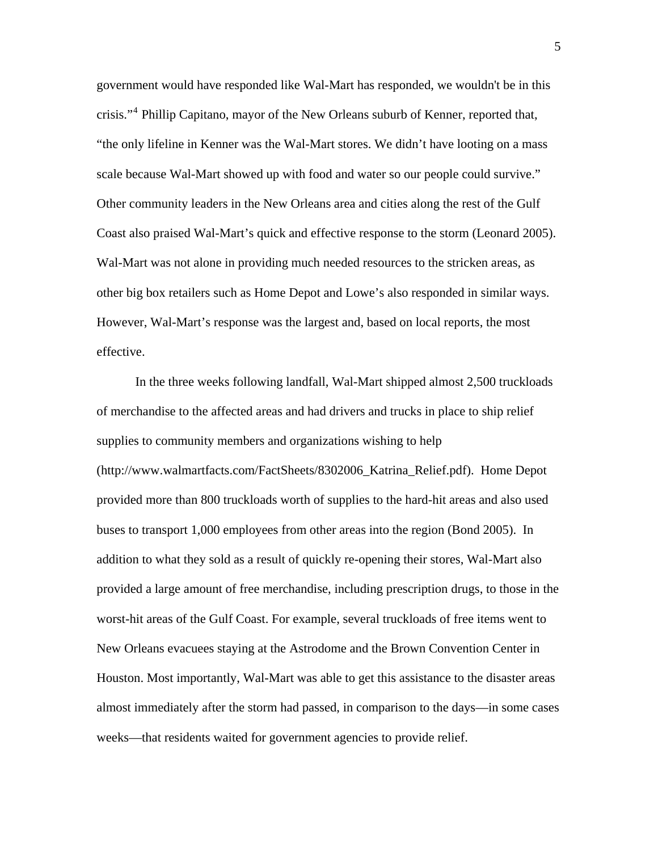government would have responded like Wal-Mart has responded, we wouldn't be in this crisis."<sup>[4](#page-32-1)</sup> Phillip Capitano, mayor of the New Orleans suburb of Kenner, reported that, "the only lifeline in Kenner was the Wal-Mart stores. We didn't have looting on a mass scale because Wal-Mart showed up with food and water so our people could survive." Other community leaders in the New Orleans area and cities along the rest of the Gulf Coast also praised Wal-Mart's quick and effective response to the storm (Leonard 2005). Wal-Mart was not alone in providing much needed resources to the stricken areas, as other big box retailers such as Home Depot and Lowe's also responded in similar ways. However, Wal-Mart's response was the largest and, based on local reports, the most effective.

In the three weeks following landfall, Wal-Mart shipped almost 2,500 truckloads of merchandise to the affected areas and had drivers and trucks in place to ship relief supplies to community members and organizations wishing to help (http://www.walmartfacts.com/FactSheets/8302006\_Katrina\_Relief.pdf). Home Depot provided more than 800 truckloads worth of supplies to the hard-hit areas and also used buses to transport 1,000 employees from other areas into the region (Bond 2005). In addition to what they sold as a result of quickly re-opening their stores, Wal-Mart also provided a large amount of free merchandise, including prescription drugs, to those in the worst-hit areas of the Gulf Coast. For example, several truckloads of free items went to New Orleans evacuees staying at the Astrodome and the Brown Convention Center in Houston. Most importantly, Wal-Mart was able to get this assistance to the disaster areas almost immediately after the storm had passed, in comparison to the days—in some cases weeks—that residents waited for government agencies to provide relief.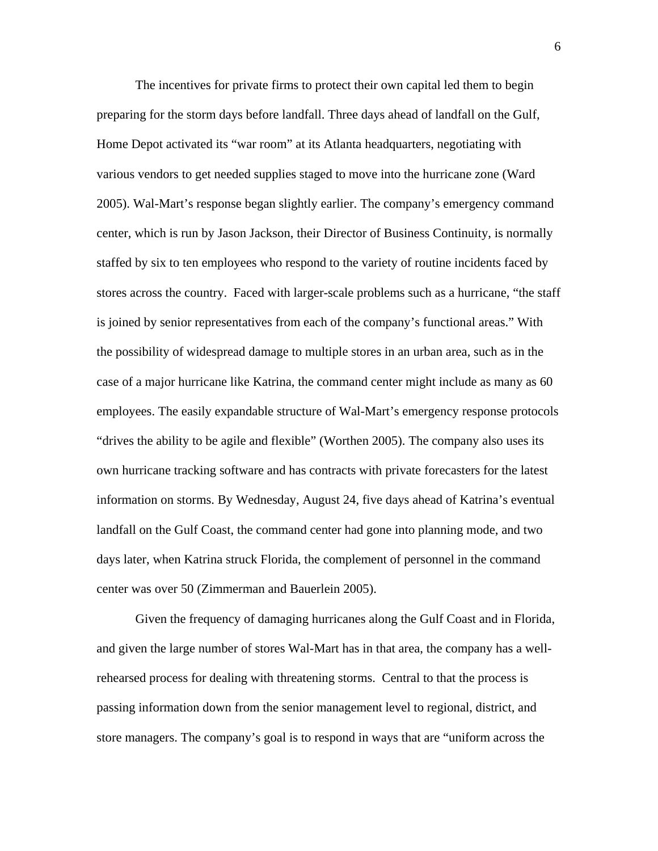The incentives for private firms to protect their own capital led them to begin preparing for the storm days before landfall. Three days ahead of landfall on the Gulf, Home Depot activated its "war room" at its Atlanta headquarters, negotiating with various vendors to get needed supplies staged to move into the hurricane zone (Ward 2005). Wal-Mart's response began slightly earlier. The company's emergency command center, which is run by Jason Jackson, their Director of Business Continuity, is normally staffed by six to ten employees who respond to the variety of routine incidents faced by stores across the country. Faced with larger-scale problems such as a hurricane, "the staff is joined by senior representatives from each of the company's functional areas." With the possibility of widespread damage to multiple stores in an urban area, such as in the case of a major hurricane like Katrina, the command center might include as many as 60 employees. The easily expandable structure of Wal-Mart's emergency response protocols "drives the ability to be agile and flexible" (Worthen 2005). The company also uses its own hurricane tracking software and has contracts with private forecasters for the latest information on storms. By Wednesday, August 24, five days ahead of Katrina's eventual landfall on the Gulf Coast, the command center had gone into planning mode, and two days later, when Katrina struck Florida, the complement of personnel in the command center was over 50 (Zimmerman and Bauerlein 2005).

Given the frequency of damaging hurricanes along the Gulf Coast and in Florida, and given the large number of stores Wal-Mart has in that area, the company has a wellrehearsed process for dealing with threatening storms. Central to that the process is passing information down from the senior management level to regional, district, and store managers. The company's goal is to respond in ways that are "uniform across the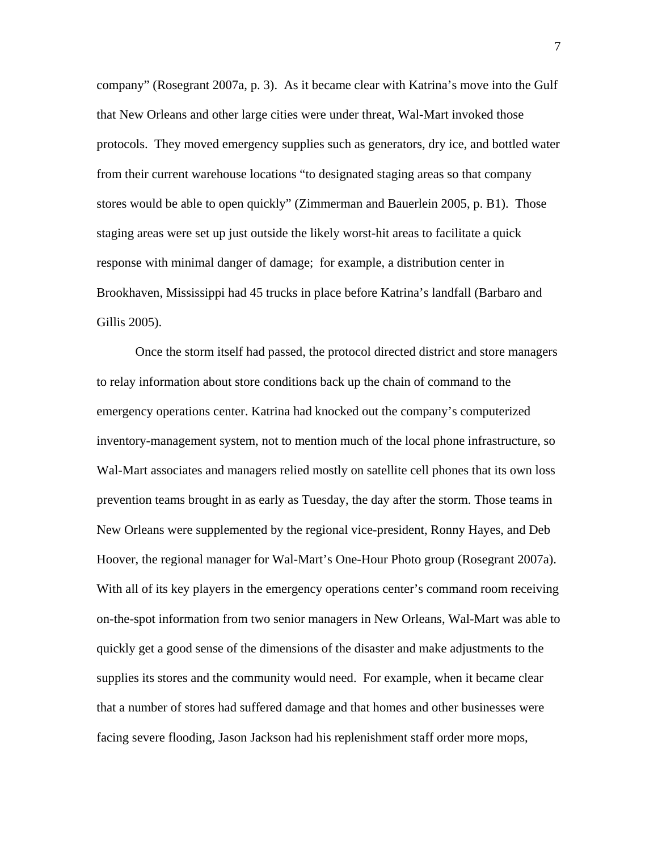company" (Rosegrant 2007a, p. 3). As it became clear with Katrina's move into the Gulf that New Orleans and other large cities were under threat, Wal-Mart invoked those protocols. They moved emergency supplies such as generators, dry ice, and bottled water from their current warehouse locations "to designated staging areas so that company stores would be able to open quickly" (Zimmerman and Bauerlein 2005, p. B1). Those staging areas were set up just outside the likely worst-hit areas to facilitate a quick response with minimal danger of damage; for example, a distribution center in Brookhaven, Mississippi had 45 trucks in place before Katrina's landfall (Barbaro and Gillis 2005).

Once the storm itself had passed, the protocol directed district and store managers to relay information about store conditions back up the chain of command to the emergency operations center. Katrina had knocked out the company's computerized inventory-management system, not to mention much of the local phone infrastructure, so Wal-Mart associates and managers relied mostly on satellite cell phones that its own loss prevention teams brought in as early as Tuesday, the day after the storm. Those teams in New Orleans were supplemented by the regional vice-president, Ronny Hayes, and Deb Hoover, the regional manager for Wal-Mart's One-Hour Photo group (Rosegrant 2007a). With all of its key players in the emergency operations center's command room receiving on-the-spot information from two senior managers in New Orleans, Wal-Mart was able to quickly get a good sense of the dimensions of the disaster and make adjustments to the supplies its stores and the community would need. For example, when it became clear that a number of stores had suffered damage and that homes and other businesses were facing severe flooding, Jason Jackson had his replenishment staff order more mops,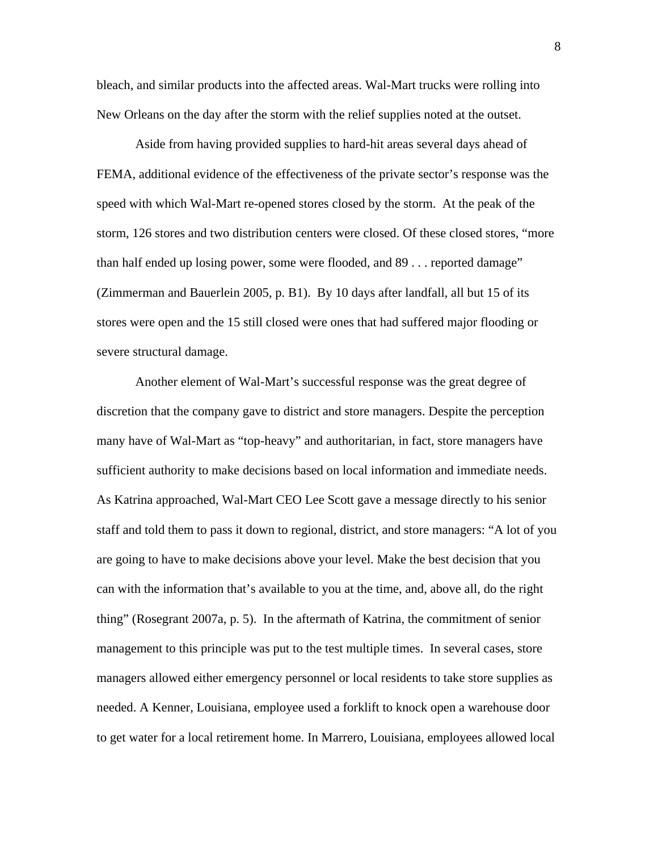bleach, and similar products into the affected areas. Wal-Mart trucks were rolling into New Orleans on the day after the storm with the relief supplies noted at the outset.

Aside from having provided supplies to hard-hit areas several days ahead of FEMA, additional evidence of the effectiveness of the private sector's response was the speed with which Wal-Mart re-opened stores closed by the storm. At the peak of the storm, 126 stores and two distribution centers were closed. Of these closed stores, "more than half ended up losing power, some were flooded, and 89 . . . reported damage" (Zimmerman and Bauerlein 2005, p. B1). By 10 days after landfall, all but 15 of its stores were open and the 15 still closed were ones that had suffered major flooding or severe structural damage.

Another element of Wal-Mart's successful response was the great degree of discretion that the company gave to district and store managers. Despite the perception many have of Wal-Mart as "top-heavy" and authoritarian, in fact, store managers have sufficient authority to make decisions based on local information and immediate needs. As Katrina approached, Wal-Mart CEO Lee Scott gave a message directly to his senior staff and told them to pass it down to regional, district, and store managers: "A lot of you are going to have to make decisions above your level. Make the best decision that you can with the information that's available to you at the time, and, above all, do the right thing" (Rosegrant 2007a, p. 5). In the aftermath of Katrina, the commitment of senior management to this principle was put to the test multiple times. In several cases, store managers allowed either emergency personnel or local residents to take store supplies as needed. A Kenner, Louisiana, employee used a forklift to knock open a warehouse door to get water for a local retirement home. In Marrero, Louisiana, employees allowed local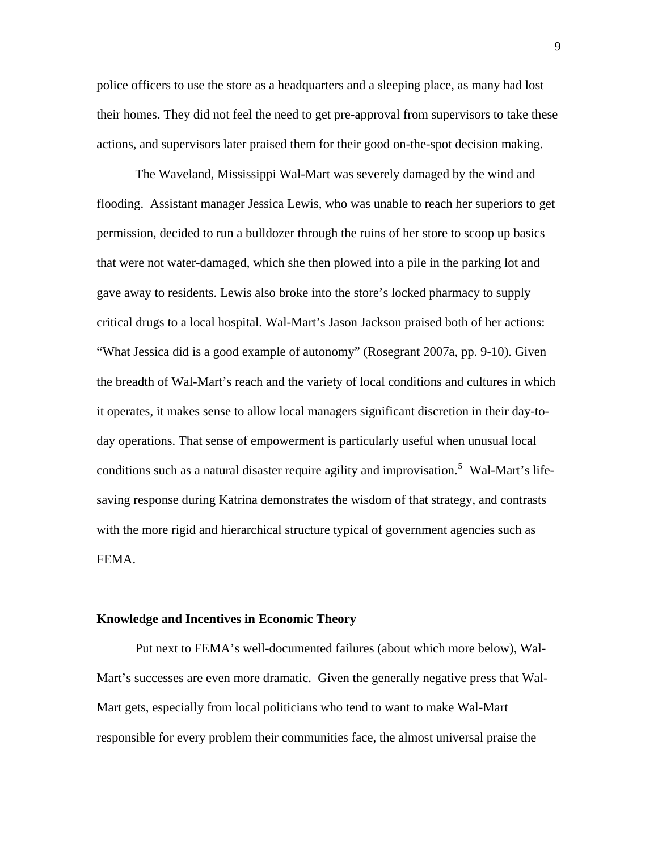police officers to use the store as a headquarters and a sleeping place, as many had lost their homes. They did not feel the need to get pre-approval from supervisors to take these actions, and supervisors later praised them for their good on-the-spot decision making.

The Waveland, Mississippi Wal-Mart was severely damaged by the wind and flooding. Assistant manager Jessica Lewis, who was unable to reach her superiors to get permission, decided to run a bulldozer through the ruins of her store to scoop up basics that were not water-damaged, which she then plowed into a pile in the parking lot and gave away to residents. Lewis also broke into the store's locked pharmacy to supply critical drugs to a local hospital. Wal-Mart's Jason Jackson praised both of her actions: "What Jessica did is a good example of autonomy" (Rosegrant 2007a, pp. 9-10). Given the breadth of Wal-Mart's reach and the variety of local conditions and cultures in which it operates, it makes sense to allow local managers significant discretion in their day-today operations. That sense of empowerment is particularly useful when unusual local conditions such as a natural disaster require agility and improvisation.<sup>[5](#page-32-1)</sup> Wal-Mart's lifesaving response during Katrina demonstrates the wisdom of that strategy, and contrasts with the more rigid and hierarchical structure typical of government agencies such as FEMA.

#### **Knowledge and Incentives in Economic Theory**

Put next to FEMA's well-documented failures (about which more below), Wal-Mart's successes are even more dramatic. Given the generally negative press that Wal-Mart gets, especially from local politicians who tend to want to make Wal-Mart responsible for every problem their communities face, the almost universal praise the

9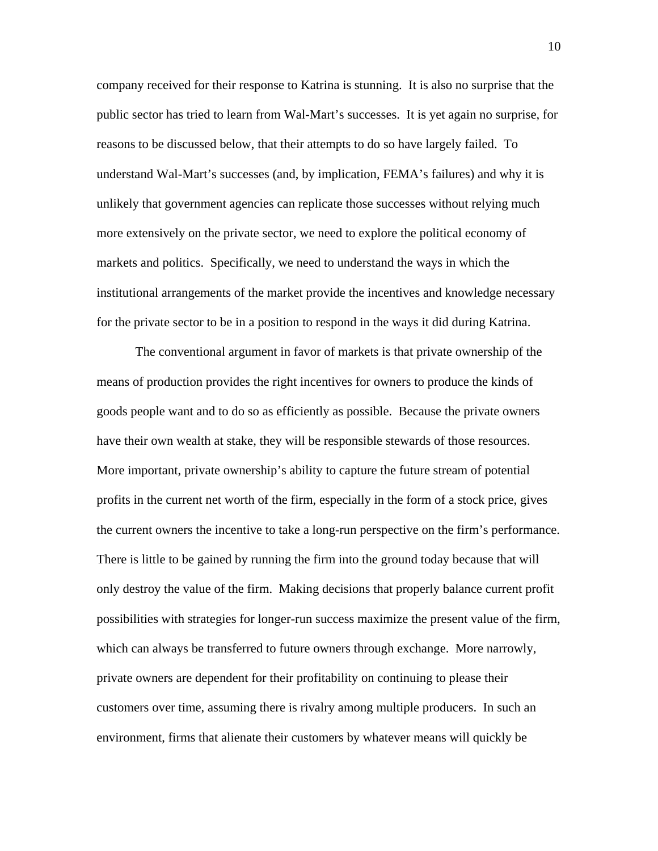company received for their response to Katrina is stunning. It is also no surprise that the public sector has tried to learn from Wal-Mart's successes. It is yet again no surprise, for reasons to be discussed below, that their attempts to do so have largely failed. To understand Wal-Mart's successes (and, by implication, FEMA's failures) and why it is unlikely that government agencies can replicate those successes without relying much more extensively on the private sector, we need to explore the political economy of markets and politics. Specifically, we need to understand the ways in which the institutional arrangements of the market provide the incentives and knowledge necessary for the private sector to be in a position to respond in the ways it did during Katrina.

The conventional argument in favor of markets is that private ownership of the means of production provides the right incentives for owners to produce the kinds of goods people want and to do so as efficiently as possible. Because the private owners have their own wealth at stake, they will be responsible stewards of those resources. More important, private ownership's ability to capture the future stream of potential profits in the current net worth of the firm, especially in the form of a stock price, gives the current owners the incentive to take a long-run perspective on the firm's performance. There is little to be gained by running the firm into the ground today because that will only destroy the value of the firm. Making decisions that properly balance current profit possibilities with strategies for longer-run success maximize the present value of the firm, which can always be transferred to future owners through exchange. More narrowly, private owners are dependent for their profitability on continuing to please their customers over time, assuming there is rivalry among multiple producers. In such an environment, firms that alienate their customers by whatever means will quickly be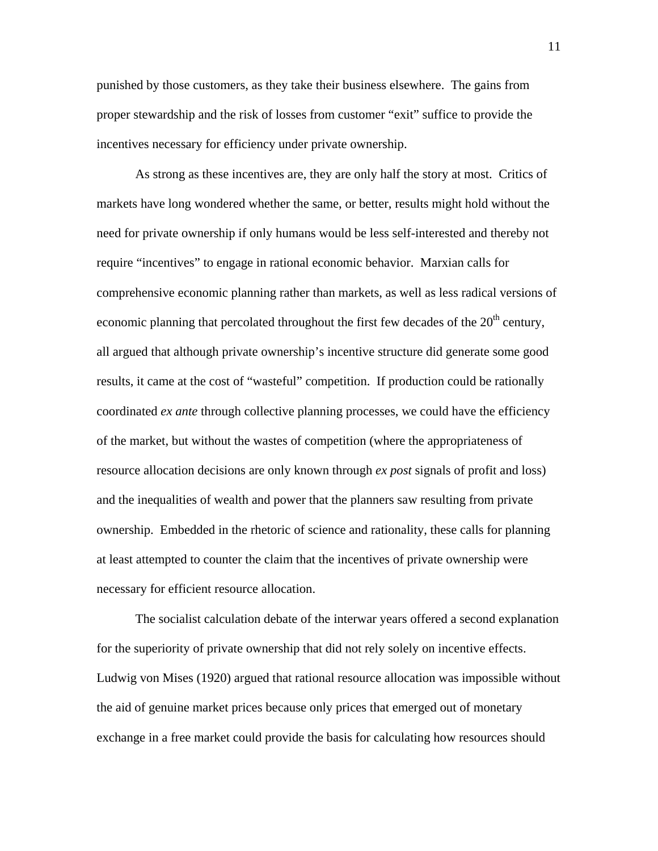punished by those customers, as they take their business elsewhere. The gains from proper stewardship and the risk of losses from customer "exit" suffice to provide the incentives necessary for efficiency under private ownership.

As strong as these incentives are, they are only half the story at most. Critics of markets have long wondered whether the same, or better, results might hold without the need for private ownership if only humans would be less self-interested and thereby not require "incentives" to engage in rational economic behavior. Marxian calls for comprehensive economic planning rather than markets, as well as less radical versions of economic planning that percolated throughout the first few decades of the  $20<sup>th</sup>$  century, all argued that although private ownership's incentive structure did generate some good results, it came at the cost of "wasteful" competition. If production could be rationally coordinated *ex ante* through collective planning processes, we could have the efficiency of the market, but without the wastes of competition (where the appropriateness of resource allocation decisions are only known through *ex post* signals of profit and loss) and the inequalities of wealth and power that the planners saw resulting from private ownership. Embedded in the rhetoric of science and rationality, these calls for planning at least attempted to counter the claim that the incentives of private ownership were necessary for efficient resource allocation.

The socialist calculation debate of the interwar years offered a second explanation for the superiority of private ownership that did not rely solely on incentive effects. Ludwig von Mises (1920) argued that rational resource allocation was impossible without the aid of genuine market prices because only prices that emerged out of monetary exchange in a free market could provide the basis for calculating how resources should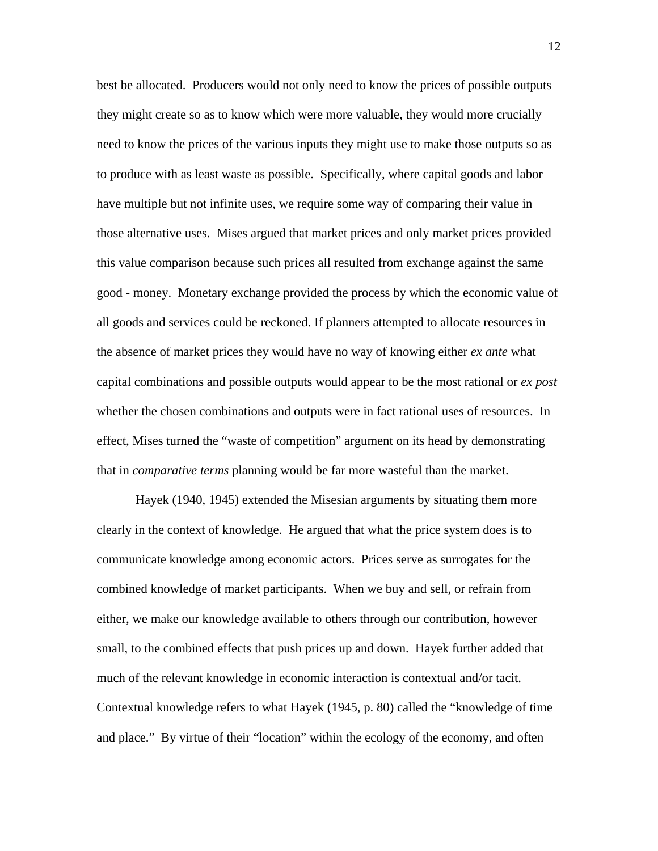best be allocated. Producers would not only need to know the prices of possible outputs they might create so as to know which were more valuable, they would more crucially need to know the prices of the various inputs they might use to make those outputs so as to produce with as least waste as possible. Specifically, where capital goods and labor have multiple but not infinite uses, we require some way of comparing their value in those alternative uses. Mises argued that market prices and only market prices provided this value comparison because such prices all resulted from exchange against the same good - money. Monetary exchange provided the process by which the economic value of all goods and services could be reckoned. If planners attempted to allocate resources in the absence of market prices they would have no way of knowing either *ex ante* what capital combinations and possible outputs would appear to be the most rational or *ex post* whether the chosen combinations and outputs were in fact rational uses of resources. In effect, Mises turned the "waste of competition" argument on its head by demonstrating that in *comparative terms* planning would be far more wasteful than the market.

Hayek (1940, 1945) extended the Misesian arguments by situating them more clearly in the context of knowledge. He argued that what the price system does is to communicate knowledge among economic actors. Prices serve as surrogates for the combined knowledge of market participants. When we buy and sell, or refrain from either, we make our knowledge available to others through our contribution, however small, to the combined effects that push prices up and down. Hayek further added that much of the relevant knowledge in economic interaction is contextual and/or tacit. Contextual knowledge refers to what Hayek (1945, p. 80) called the "knowledge of time and place." By virtue of their "location" within the ecology of the economy, and often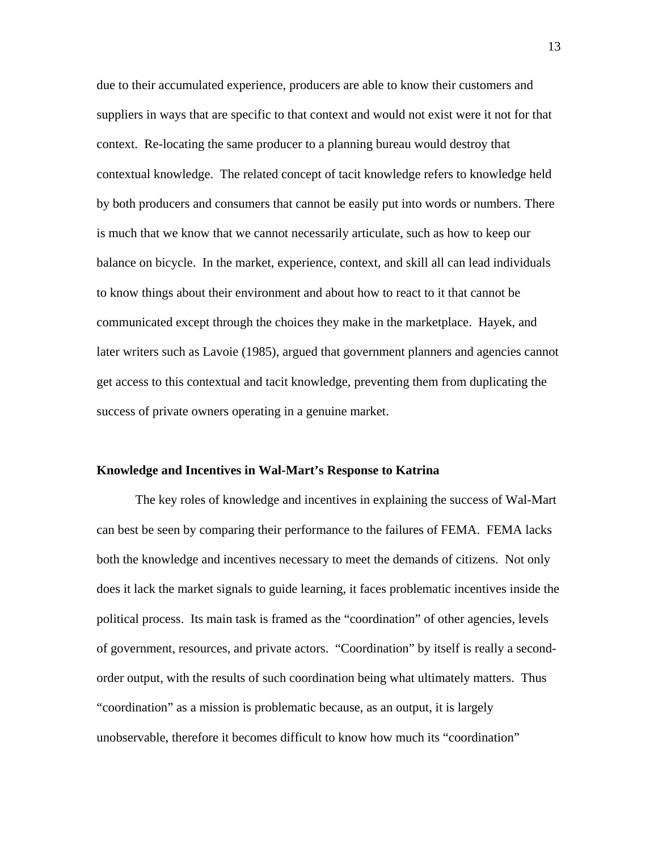due to their accumulated experience, producers are able to know their customers and suppliers in ways that are specific to that context and would not exist were it not for that context. Re-locating the same producer to a planning bureau would destroy that contextual knowledge. The related concept of tacit knowledge refers to knowledge held by both producers and consumers that cannot be easily put into words or numbers. There is much that we know that we cannot necessarily articulate, such as how to keep our balance on bicycle. In the market, experience, context, and skill all can lead individuals to know things about their environment and about how to react to it that cannot be communicated except through the choices they make in the marketplace. Hayek, and later writers such as Lavoie (1985), argued that government planners and agencies cannot get access to this contextual and tacit knowledge, preventing them from duplicating the success of private owners operating in a genuine market.

#### **Knowledge and Incentives in Wal-Mart's Response to Katrina**

The key roles of knowledge and incentives in explaining the success of Wal-Mart can best be seen by comparing their performance to the failures of FEMA. FEMA lacks both the knowledge and incentives necessary to meet the demands of citizens. Not only does it lack the market signals to guide learning, it faces problematic incentives inside the political process. Its main task is framed as the "coordination" of other agencies, levels of government, resources, and private actors. "Coordination" by itself is really a secondorder output, with the results of such coordination being what ultimately matters. Thus "coordination" as a mission is problematic because, as an output, it is largely unobservable, therefore it becomes difficult to know how much its "coordination"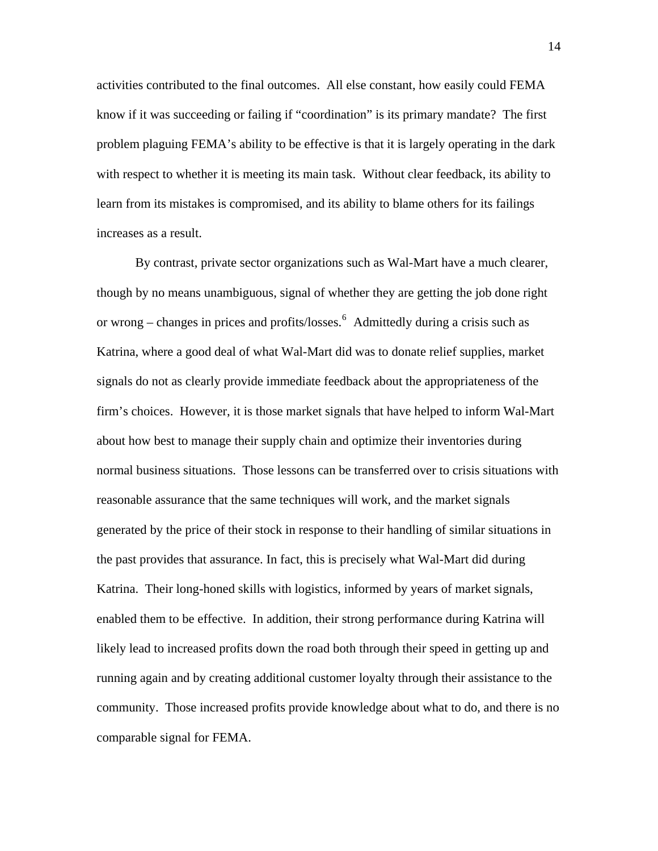activities contributed to the final outcomes. All else constant, how easily could FEMA know if it was succeeding or failing if "coordination" is its primary mandate? The first problem plaguing FEMA's ability to be effective is that it is largely operating in the dark with respect to whether it is meeting its main task. Without clear feedback, its ability to learn from its mistakes is compromised, and its ability to blame others for its failings increases as a result.

By contrast, private sector organizations such as Wal-Mart have a much clearer, though by no means unambiguous, signal of whether they are getting the job done right or wrong – changes in prices and profits/losses.  $6$  Admittedly during a crisis such as Katrina, where a good deal of what Wal-Mart did was to donate relief supplies, market signals do not as clearly provide immediate feedback about the appropriateness of the firm's choices. However, it is those market signals that have helped to inform Wal-Mart about how best to manage their supply chain and optimize their inventories during normal business situations. Those lessons can be transferred over to crisis situations with reasonable assurance that the same techniques will work, and the market signals generated by the price of their stock in response to their handling of similar situations in the past provides that assurance. In fact, this is precisely what Wal-Mart did during Katrina. Their long-honed skills with logistics, informed by years of market signals, enabled them to be effective. In addition, their strong performance during Katrina will likely lead to increased profits down the road both through their speed in getting up and running again and by creating additional customer loyalty through their assistance to the community. Those increased profits provide knowledge about what to do, and there is no comparable signal for FEMA.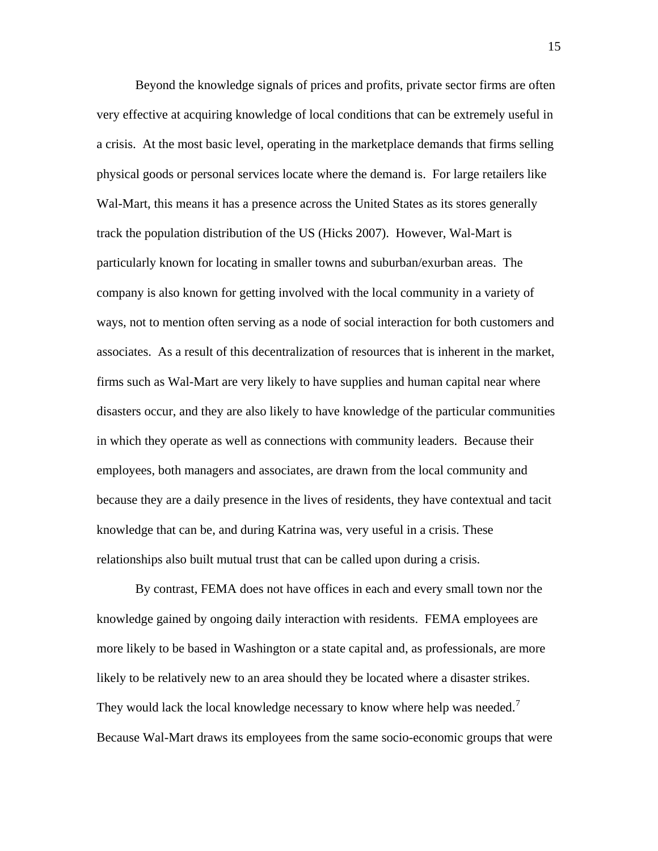Beyond the knowledge signals of prices and profits, private sector firms are often very effective at acquiring knowledge of local conditions that can be extremely useful in a crisis. At the most basic level, operating in the marketplace demands that firms selling physical goods or personal services locate where the demand is. For large retailers like Wal-Mart, this means it has a presence across the United States as its stores generally track the population distribution of the US (Hicks 2007). However, Wal-Mart is particularly known for locating in smaller towns and suburban/exurban areas. The company is also known for getting involved with the local community in a variety of ways, not to mention often serving as a node of social interaction for both customers and associates. As a result of this decentralization of resources that is inherent in the market, firms such as Wal-Mart are very likely to have supplies and human capital near where disasters occur, and they are also likely to have knowledge of the particular communities in which they operate as well as connections with community leaders. Because their employees, both managers and associates, are drawn from the local community and because they are a daily presence in the lives of residents, they have contextual and tacit knowledge that can be, and during Katrina was, very useful in a crisis. These relationships also built mutual trust that can be called upon during a crisis.

By contrast, FEMA does not have offices in each and every small town nor the knowledge gained by ongoing daily interaction with residents. FEMA employees are more likely to be based in Washington or a state capital and, as professionals, are more likely to be relatively new to an area should they be located where a disaster strikes. They would lack the local knowledge necessary to know where help was needed.<sup>[7](#page-32-1)</sup> Because Wal-Mart draws its employees from the same socio-economic groups that were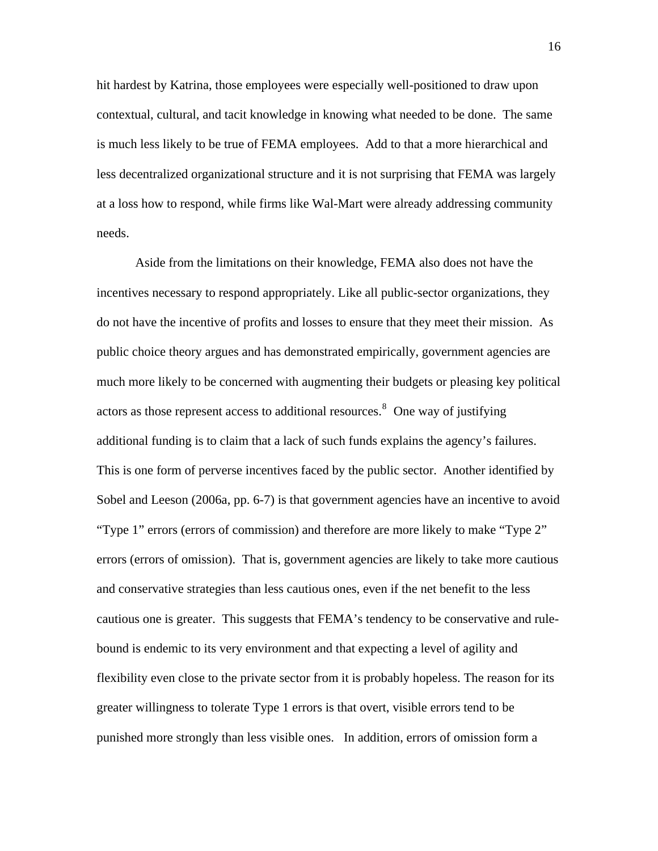hit hardest by Katrina, those employees were especially well-positioned to draw upon contextual, cultural, and tacit knowledge in knowing what needed to be done. The same is much less likely to be true of FEMA employees. Add to that a more hierarchical and less decentralized organizational structure and it is not surprising that FEMA was largely at a loss how to respond, while firms like Wal-Mart were already addressing community needs.

Aside from the limitations on their knowledge, FEMA also does not have the incentives necessary to respond appropriately. Like all public-sector organizations, they do not have the incentive of profits and losses to ensure that they meet their mission. As public choice theory argues and has demonstrated empirically, government agencies are much more likely to be concerned with augmenting their budgets or pleasing key political actors as those represent access to additional resources. $8$  One way of justifying additional funding is to claim that a lack of such funds explains the agency's failures. This is one form of perverse incentives faced by the public sector. Another identified by Sobel and Leeson (2006a, pp. 6-7) is that government agencies have an incentive to avoid "Type 1" errors (errors of commission) and therefore are more likely to make "Type 2" errors (errors of omission). That is, government agencies are likely to take more cautious and conservative strategies than less cautious ones, even if the net benefit to the less cautious one is greater. This suggests that FEMA's tendency to be conservative and rulebound is endemic to its very environment and that expecting a level of agility and flexibility even close to the private sector from it is probably hopeless. The reason for its greater willingness to tolerate Type 1 errors is that overt, visible errors tend to be punished more strongly than less visible ones. In addition, errors of omission form a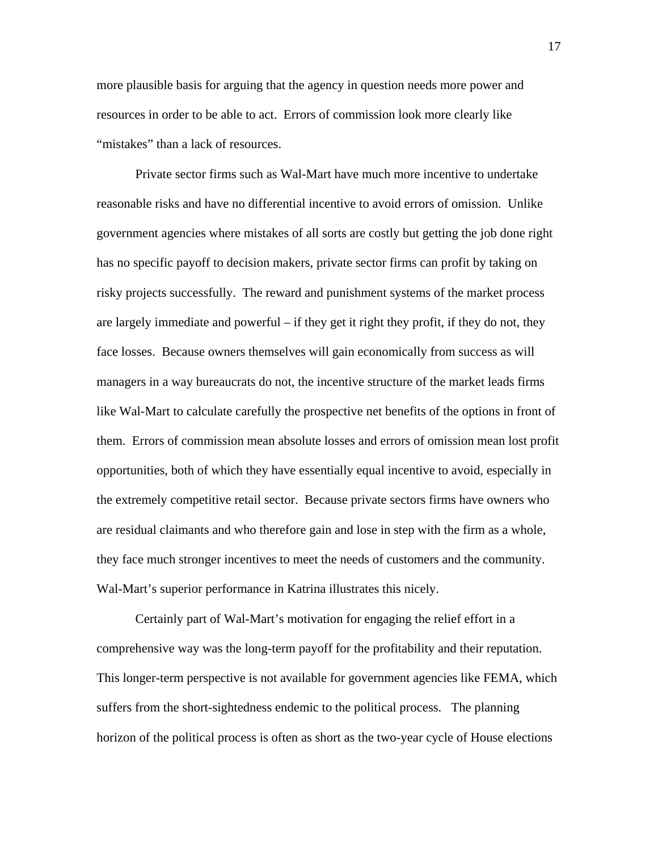more plausible basis for arguing that the agency in question needs more power and resources in order to be able to act. Errors of commission look more clearly like "mistakes" than a lack of resources.

Private sector firms such as Wal-Mart have much more incentive to undertake reasonable risks and have no differential incentive to avoid errors of omission. Unlike government agencies where mistakes of all sorts are costly but getting the job done right has no specific payoff to decision makers, private sector firms can profit by taking on risky projects successfully. The reward and punishment systems of the market process are largely immediate and powerful – if they get it right they profit, if they do not, they face losses. Because owners themselves will gain economically from success as will managers in a way bureaucrats do not, the incentive structure of the market leads firms like Wal-Mart to calculate carefully the prospective net benefits of the options in front of them. Errors of commission mean absolute losses and errors of omission mean lost profit opportunities, both of which they have essentially equal incentive to avoid, especially in the extremely competitive retail sector. Because private sectors firms have owners who are residual claimants and who therefore gain and lose in step with the firm as a whole, they face much stronger incentives to meet the needs of customers and the community. Wal-Mart's superior performance in Katrina illustrates this nicely.

Certainly part of Wal-Mart's motivation for engaging the relief effort in a comprehensive way was the long-term payoff for the profitability and their reputation. This longer-term perspective is not available for government agencies like FEMA, which suffers from the short-sightedness endemic to the political process. The planning horizon of the political process is often as short as the two-year cycle of House elections

17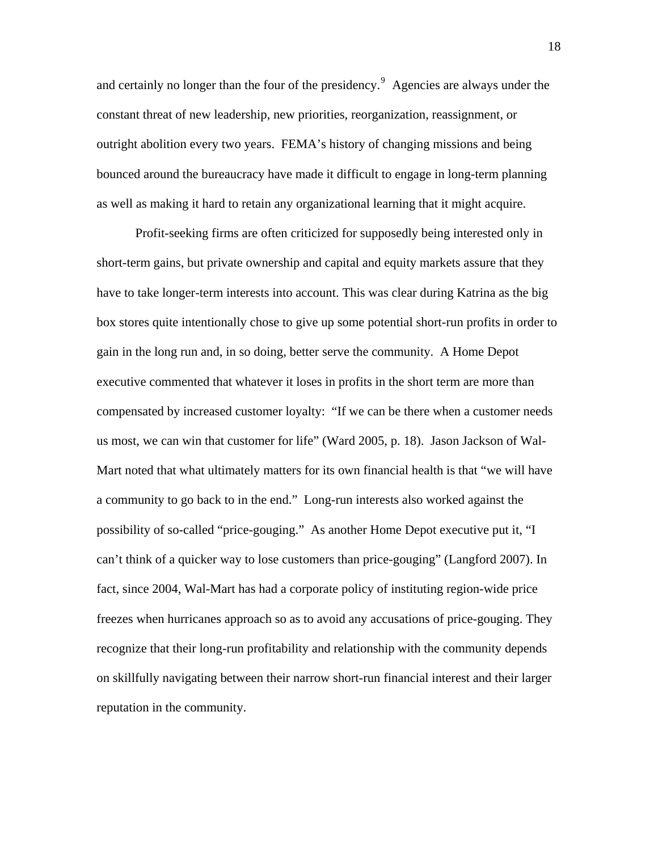and certainly no longer than the four of the presidency. $9$  Agencies are always under the constant threat of new leadership, new priorities, reorganization, reassignment, or outright abolition every two years. FEMA's history of changing missions and being bounced around the bureaucracy have made it difficult to engage in long-term planning as well as making it hard to retain any organizational learning that it might acquire.

Profit-seeking firms are often criticized for supposedly being interested only in short-term gains, but private ownership and capital and equity markets assure that they have to take longer-term interests into account. This was clear during Katrina as the big box stores quite intentionally chose to give up some potential short-run profits in order to gain in the long run and, in so doing, better serve the community. A Home Depot executive commented that whatever it loses in profits in the short term are more than compensated by increased customer loyalty: "If we can be there when a customer needs us most, we can win that customer for life" (Ward 2005, p. 18). Jason Jackson of Wal-Mart noted that what ultimately matters for its own financial health is that "we will have a community to go back to in the end." Long-run interests also worked against the possibility of so-called "price-gouging." As another Home Depot executive put it, "I can't think of a quicker way to lose customers than price-gouging" (Langford 2007). In fact, since 2004, Wal-Mart has had a corporate policy of instituting region-wide price freezes when hurricanes approach so as to avoid any accusations of price-gouging. They recognize that their long-run profitability and relationship with the community depends on skillfully navigating between their narrow short-run financial interest and their larger reputation in the community.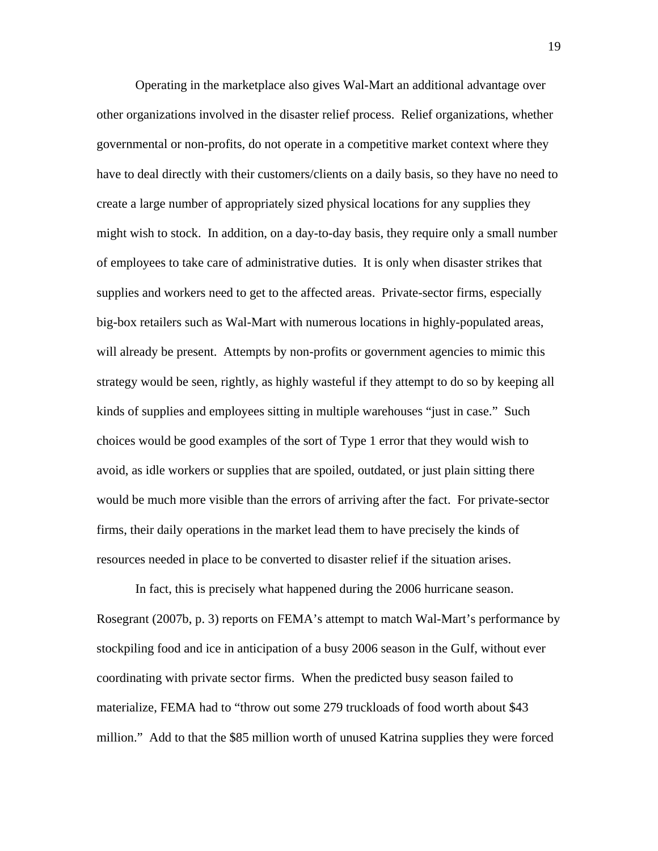Operating in the marketplace also gives Wal-Mart an additional advantage over other organizations involved in the disaster relief process. Relief organizations, whether governmental or non-profits, do not operate in a competitive market context where they have to deal directly with their customers/clients on a daily basis, so they have no need to create a large number of appropriately sized physical locations for any supplies they might wish to stock. In addition, on a day-to-day basis, they require only a small number of employees to take care of administrative duties. It is only when disaster strikes that supplies and workers need to get to the affected areas. Private-sector firms, especially big-box retailers such as Wal-Mart with numerous locations in highly-populated areas, will already be present. Attempts by non-profits or government agencies to mimic this strategy would be seen, rightly, as highly wasteful if they attempt to do so by keeping all kinds of supplies and employees sitting in multiple warehouses "just in case." Such choices would be good examples of the sort of Type 1 error that they would wish to avoid, as idle workers or supplies that are spoiled, outdated, or just plain sitting there would be much more visible than the errors of arriving after the fact. For private-sector firms, their daily operations in the market lead them to have precisely the kinds of resources needed in place to be converted to disaster relief if the situation arises.

In fact, this is precisely what happened during the 2006 hurricane season. Rosegrant (2007b, p. 3) reports on FEMA's attempt to match Wal-Mart's performance by stockpiling food and ice in anticipation of a busy 2006 season in the Gulf, without ever coordinating with private sector firms. When the predicted busy season failed to materialize, FEMA had to "throw out some 279 truckloads of food worth about \$43 million." Add to that the \$85 million worth of unused Katrina supplies they were forced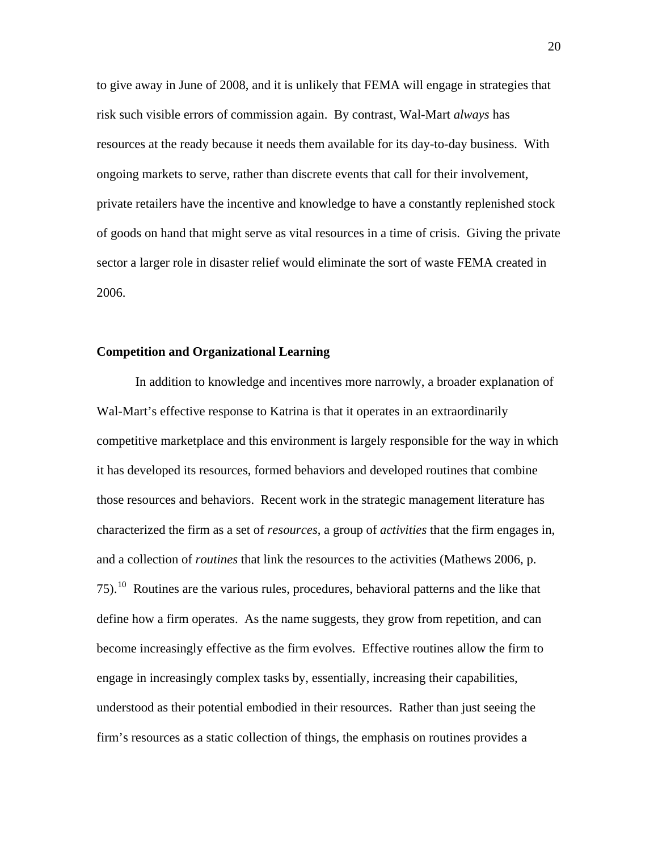to give away in June of 2008, and it is unlikely that FEMA will engage in strategies that risk such visible errors of commission again. By contrast, Wal-Mart *always* has resources at the ready because it needs them available for its day-to-day business. With ongoing markets to serve, rather than discrete events that call for their involvement, private retailers have the incentive and knowledge to have a constantly replenished stock of goods on hand that might serve as vital resources in a time of crisis. Giving the private sector a larger role in disaster relief would eliminate the sort of waste FEMA created in 2006.

# **Competition and Organizational Learning**

In addition to knowledge and incentives more narrowly, a broader explanation of Wal-Mart's effective response to Katrina is that it operates in an extraordinarily competitive marketplace and this environment is largely responsible for the way in which it has developed its resources, formed behaviors and developed routines that combine those resources and behaviors. Recent work in the strategic management literature has characterized the firm as a set of *resources*, a group of *activities* that the firm engages in, and a collection of *routines* that link the resources to the activities (Mathews 2006, p. 75).[10](#page-32-1) Routines are the various rules, procedures, behavioral patterns and the like that define how a firm operates. As the name suggests, they grow from repetition, and can become increasingly effective as the firm evolves. Effective routines allow the firm to engage in increasingly complex tasks by, essentially, increasing their capabilities, understood as their potential embodied in their resources. Rather than just seeing the firm's resources as a static collection of things, the emphasis on routines provides a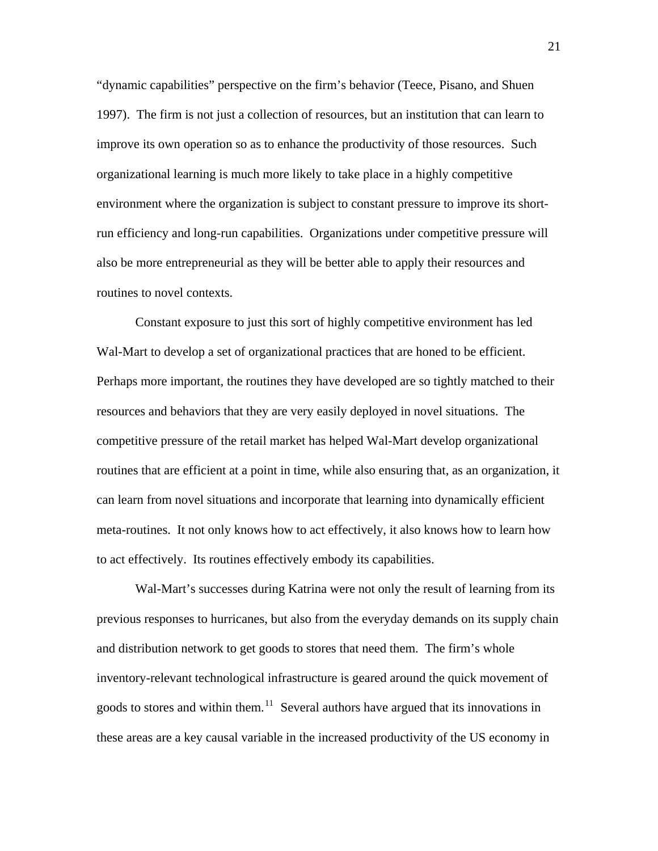"dynamic capabilities" perspective on the firm's behavior (Teece, Pisano, and Shuen 1997). The firm is not just a collection of resources, but an institution that can learn to improve its own operation so as to enhance the productivity of those resources. Such organizational learning is much more likely to take place in a highly competitive environment where the organization is subject to constant pressure to improve its shortrun efficiency and long-run capabilities. Organizations under competitive pressure will also be more entrepreneurial as they will be better able to apply their resources and routines to novel contexts.

Constant exposure to just this sort of highly competitive environment has led Wal-Mart to develop a set of organizational practices that are honed to be efficient. Perhaps more important, the routines they have developed are so tightly matched to their resources and behaviors that they are very easily deployed in novel situations. The competitive pressure of the retail market has helped Wal-Mart develop organizational routines that are efficient at a point in time, while also ensuring that, as an organization, it can learn from novel situations and incorporate that learning into dynamically efficient meta-routines. It not only knows how to act effectively, it also knows how to learn how to act effectively. Its routines effectively embody its capabilities.

Wal-Mart's successes during Katrina were not only the result of learning from its previous responses to hurricanes, but also from the everyday demands on its supply chain and distribution network to get goods to stores that need them. The firm's whole inventory-relevant technological infrastructure is geared around the quick movement of goods to stores and within them.<sup>[11](#page-32-1)</sup> Several authors have argued that its innovations in these areas are a key causal variable in the increased productivity of the US economy in

21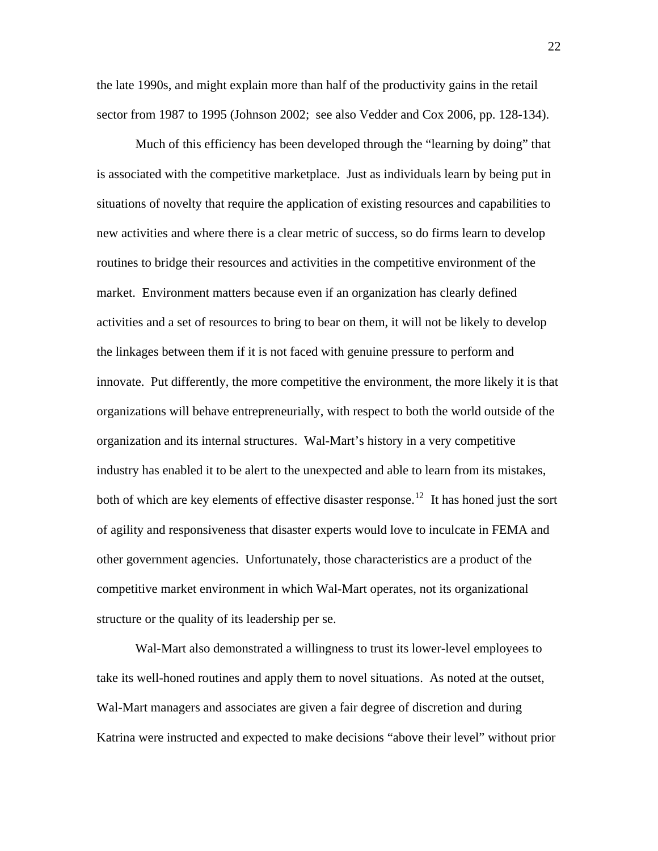the late 1990s, and might explain more than half of the productivity gains in the retail sector from 1987 to 1995 (Johnson 2002; see also Vedder and Cox 2006, pp. 128-134).

Much of this efficiency has been developed through the "learning by doing" that is associated with the competitive marketplace. Just as individuals learn by being put in situations of novelty that require the application of existing resources and capabilities to new activities and where there is a clear metric of success, so do firms learn to develop routines to bridge their resources and activities in the competitive environment of the market. Environment matters because even if an organization has clearly defined activities and a set of resources to bring to bear on them, it will not be likely to develop the linkages between them if it is not faced with genuine pressure to perform and innovate. Put differently, the more competitive the environment, the more likely it is that organizations will behave entrepreneurially, with respect to both the world outside of the organization and its internal structures. Wal-Mart's history in a very competitive industry has enabled it to be alert to the unexpected and able to learn from its mistakes, both of which are key elements of effective disaster response.<sup>[12](#page-32-1)</sup> It has honed just the sort of agility and responsiveness that disaster experts would love to inculcate in FEMA and other government agencies. Unfortunately, those characteristics are a product of the competitive market environment in which Wal-Mart operates, not its organizational structure or the quality of its leadership per se.

Wal-Mart also demonstrated a willingness to trust its lower-level employees to take its well-honed routines and apply them to novel situations. As noted at the outset, Wal-Mart managers and associates are given a fair degree of discretion and during Katrina were instructed and expected to make decisions "above their level" without prior

22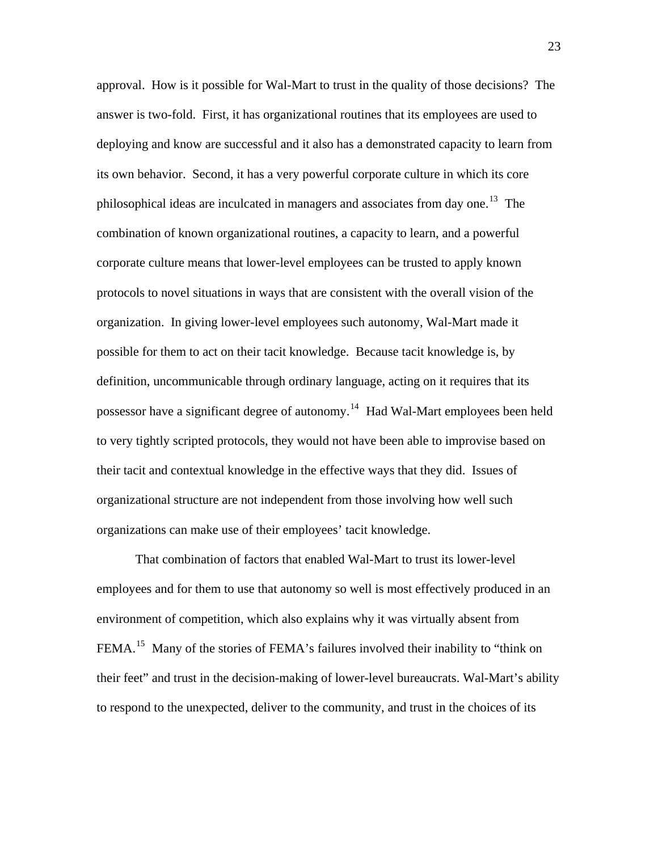approval. How is it possible for Wal-Mart to trust in the quality of those decisions? The answer is two-fold. First, it has organizational routines that its employees are used to deploying and know are successful and it also has a demonstrated capacity to learn from its own behavior. Second, it has a very powerful corporate culture in which its core philosophical ideas are inculcated in managers and associates from day one.<sup>[13](#page-32-1)</sup> The combination of known organizational routines, a capacity to learn, and a powerful corporate culture means that lower-level employees can be trusted to apply known protocols to novel situations in ways that are consistent with the overall vision of the organization. In giving lower-level employees such autonomy, Wal-Mart made it possible for them to act on their tacit knowledge. Because tacit knowledge is, by definition, uncommunicable through ordinary language, acting on it requires that its possessor have a significant degree of autonomy.[14](#page-32-1) Had Wal-Mart employees been held to very tightly scripted protocols, they would not have been able to improvise based on their tacit and contextual knowledge in the effective ways that they did. Issues of organizational structure are not independent from those involving how well such organizations can make use of their employees' tacit knowledge.

That combination of factors that enabled Wal-Mart to trust its lower-level employees and for them to use that autonomy so well is most effectively produced in an environment of competition, which also explains why it was virtually absent from FEMA.<sup>[15](#page-32-1)</sup> Many of the stories of FEMA's failures involved their inability to "think on their feet" and trust in the decision-making of lower-level bureaucrats. Wal-Mart's ability to respond to the unexpected, deliver to the community, and trust in the choices of its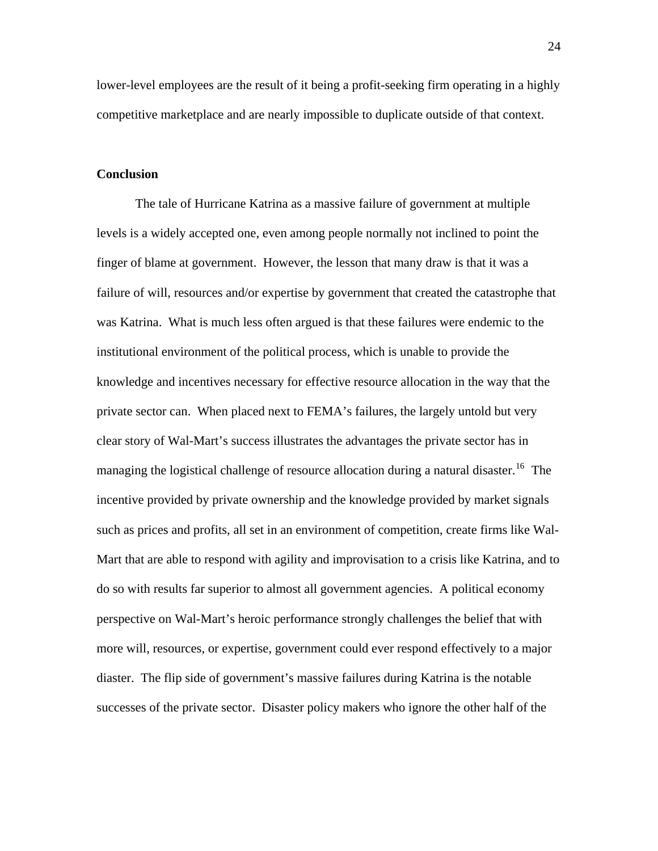lower-level employees are the result of it being a profit-seeking firm operating in a highly competitive marketplace and are nearly impossible to duplicate outside of that context.

### **Conclusion**

The tale of Hurricane Katrina as a massive failure of government at multiple levels is a widely accepted one, even among people normally not inclined to point the finger of blame at government. However, the lesson that many draw is that it was a failure of will, resources and/or expertise by government that created the catastrophe that was Katrina. What is much less often argued is that these failures were endemic to the institutional environment of the political process, which is unable to provide the knowledge and incentives necessary for effective resource allocation in the way that the private sector can. When placed next to FEMA's failures, the largely untold but very clear story of Wal-Mart's success illustrates the advantages the private sector has in managing the logistical challenge of resource allocation during a natural disaster.<sup>[16](#page-32-1)</sup> The incentive provided by private ownership and the knowledge provided by market signals such as prices and profits, all set in an environment of competition, create firms like Wal-Mart that are able to respond with agility and improvisation to a crisis like Katrina, and to do so with results far superior to almost all government agencies. A political economy perspective on Wal-Mart's heroic performance strongly challenges the belief that with more will, resources, or expertise, government could ever respond effectively to a major diaster. The flip side of government's massive failures during Katrina is the notable successes of the private sector. Disaster policy makers who ignore the other half of the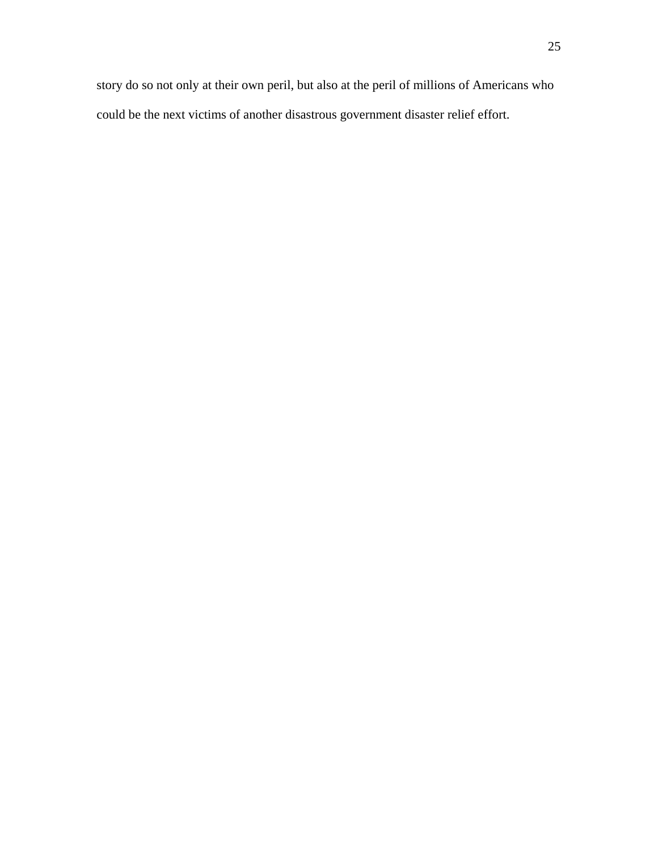story do so not only at their own peril, but also at the peril of millions of Americans who could be the next victims of another disastrous government disaster relief effort.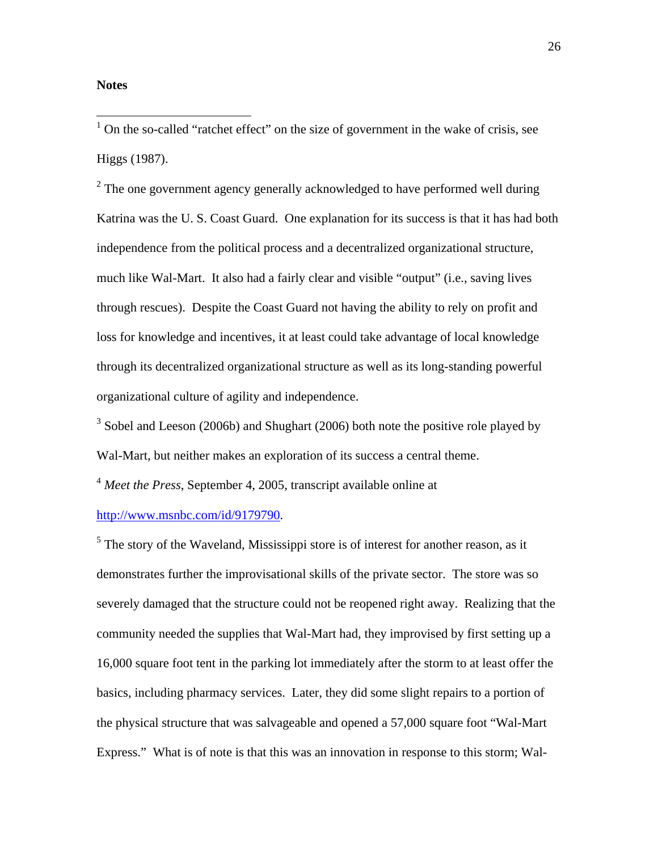## **Notes**

<sup>1</sup> On the so-called "ratchet effect" on the size of government in the wake of crisis, see Higgs (1987).

 $2<sup>2</sup>$  The one government agency generally acknowledged to have performed well during Katrina was the U. S. Coast Guard. One explanation for its success is that it has had both independence from the political process and a decentralized organizational structure, much like Wal-Mart. It also had a fairly clear and visible "output" (i.e., saving lives through rescues). Despite the Coast Guard not having the ability to rely on profit and loss for knowledge and incentives, it at least could take advantage of local knowledge through its decentralized organizational structure as well as its long-standing powerful organizational culture of agility and independence.

 $3$  Sobel and Leeson (2006b) and Shughart (2006) both note the positive role played by Wal-Mart, but neither makes an exploration of its success a central theme.

<sup>4</sup> *Meet the Press*, September 4, 2005, transcript available online at

[http://www.msnbc.com/id/9179790.](http://www.msnbc.com/id/9179790)

 $<sup>5</sup>$  The story of the Waveland, Mississippi store is of interest for another reason, as it</sup> demonstrates further the improvisational skills of the private sector. The store was so severely damaged that the structure could not be reopened right away. Realizing that the community needed the supplies that Wal-Mart had, they improvised by first setting up a 16,000 square foot tent in the parking lot immediately after the storm to at least offer the basics, including pharmacy services. Later, they did some slight repairs to a portion of the physical structure that was salvageable and opened a 57,000 square foot "Wal-Mart Express." What is of note is that this was an innovation in response to this storm; Wal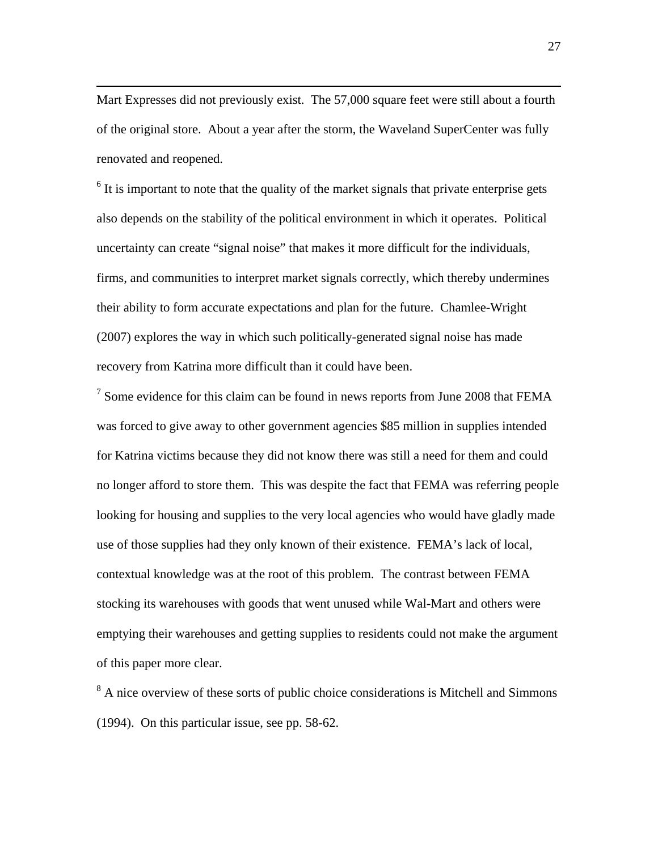Mart Expresses did not previously exist. The 57,000 square feet were still about a fourth of the original store. About a year after the storm, the Waveland SuperCenter was fully renovated and reopened.

1

 $6$  It is important to note that the quality of the market signals that private enterprise gets also depends on the stability of the political environment in which it operates. Political uncertainty can create "signal noise" that makes it more difficult for the individuals, firms, and communities to interpret market signals correctly, which thereby undermines their ability to form accurate expectations and plan for the future. Chamlee-Wright (2007) explores the way in which such politically-generated signal noise has made recovery from Katrina more difficult than it could have been.

<sup>7</sup> Some evidence for this claim can be found in news reports from June 2008 that FEMA was forced to give away to other government agencies \$85 million in supplies intended for Katrina victims because they did not know there was still a need for them and could no longer afford to store them. This was despite the fact that FEMA was referring people looking for housing and supplies to the very local agencies who would have gladly made use of those supplies had they only known of their existence. FEMA's lack of local, contextual knowledge was at the root of this problem. The contrast between FEMA stocking its warehouses with goods that went unused while Wal-Mart and others were emptying their warehouses and getting supplies to residents could not make the argument of this paper more clear.

<sup>8</sup> A nice overview of these sorts of public choice considerations is Mitchell and Simmons (1994). On this particular issue, see pp. 58-62.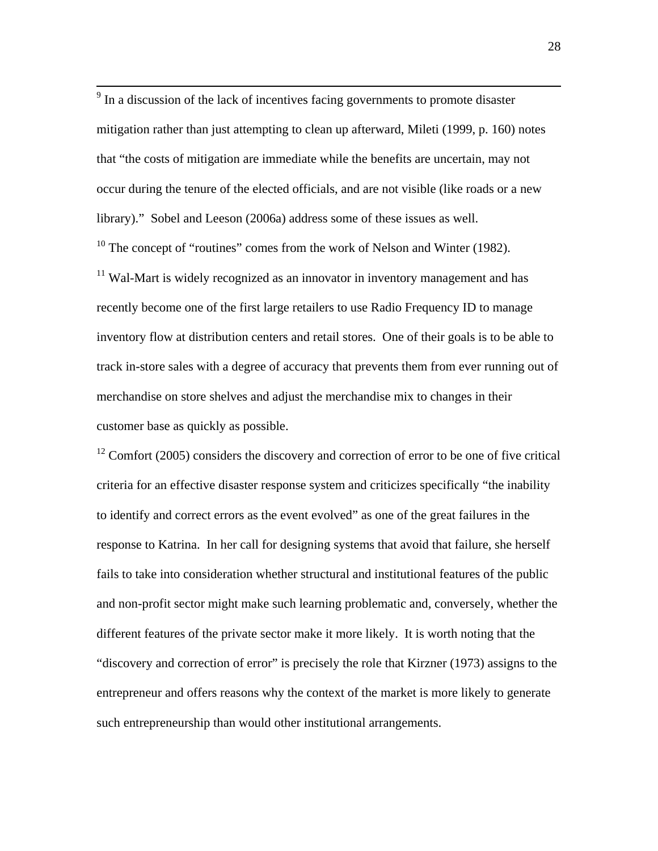<sup>9</sup> In a discussion of the lack of incentives facing governments to promote disaster mitigation rather than just attempting to clean up afterward, Mileti (1999, p. 160) notes that "the costs of mitigation are immediate while the benefits are uncertain, may not occur during the tenure of the elected officials, and are not visible (like roads or a new library)." Sobel and Leeson (2006a) address some of these issues as well.

 $10$  The concept of "routines" comes from the work of Nelson and Winter (1982).

 $11$  Wal-Mart is widely recognized as an innovator in inventory management and has recently become one of the first large retailers to use Radio Frequency ID to manage inventory flow at distribution centers and retail stores. One of their goals is to be able to track in-store sales with a degree of accuracy that prevents them from ever running out of merchandise on store shelves and adjust the merchandise mix to changes in their customer base as quickly as possible.

 $12$  Comfort (2005) considers the discovery and correction of error to be one of five critical criteria for an effective disaster response system and criticizes specifically "the inability to identify and correct errors as the event evolved" as one of the great failures in the response to Katrina. In her call for designing systems that avoid that failure, she herself fails to take into consideration whether structural and institutional features of the public and non-profit sector might make such learning problematic and, conversely, whether the different features of the private sector make it more likely. It is worth noting that the "discovery and correction of error" is precisely the role that Kirzner (1973) assigns to the entrepreneur and offers reasons why the context of the market is more likely to generate such entrepreneurship than would other institutional arrangements.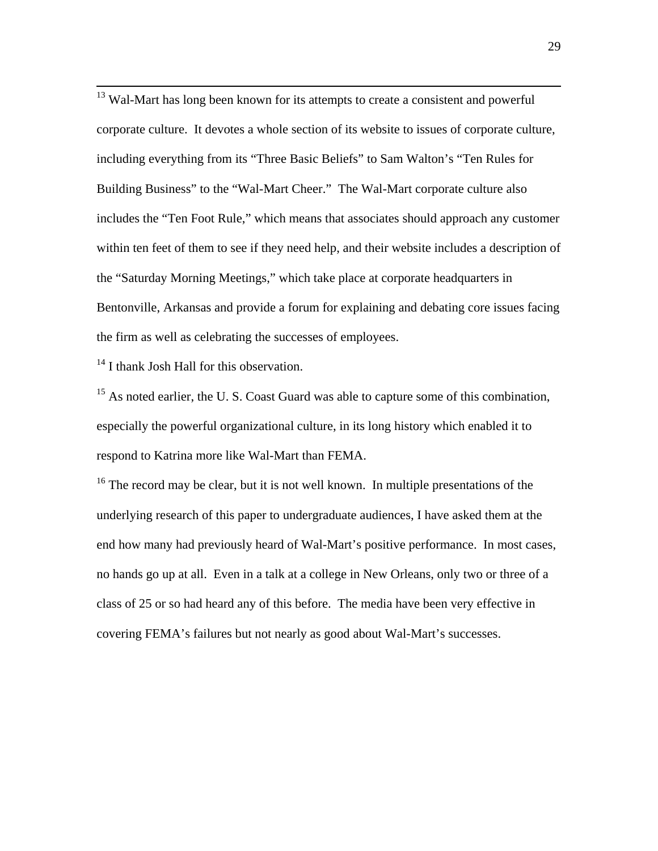<sup>13</sup> Wal-Mart has long been known for its attempts to create a consistent and powerful corporate culture. It devotes a whole section of its website to issues of corporate culture, including everything from its "Three Basic Beliefs" to Sam Walton's "Ten Rules for Building Business" to the "Wal-Mart Cheer." The Wal-Mart corporate culture also includes the "Ten Foot Rule," which means that associates should approach any customer within ten feet of them to see if they need help, and their website includes a description of the "Saturday Morning Meetings," which take place at corporate headquarters in Bentonville, Arkansas and provide a forum for explaining and debating core issues facing the firm as well as celebrating the successes of employees.

 $14$  I thank Josh Hall for this observation.

<sup>15</sup> As noted earlier, the U.S. Coast Guard was able to capture some of this combination, especially the powerful organizational culture, in its long history which enabled it to respond to Katrina more like Wal-Mart than FEMA.

 $16$  The record may be clear, but it is not well known. In multiple presentations of the underlying research of this paper to undergraduate audiences, I have asked them at the end how many had previously heard of Wal-Mart's positive performance. In most cases, no hands go up at all. Even in a talk at a college in New Orleans, only two or three of a class of 25 or so had heard any of this before. The media have been very effective in covering FEMA's failures but not nearly as good about Wal-Mart's successes.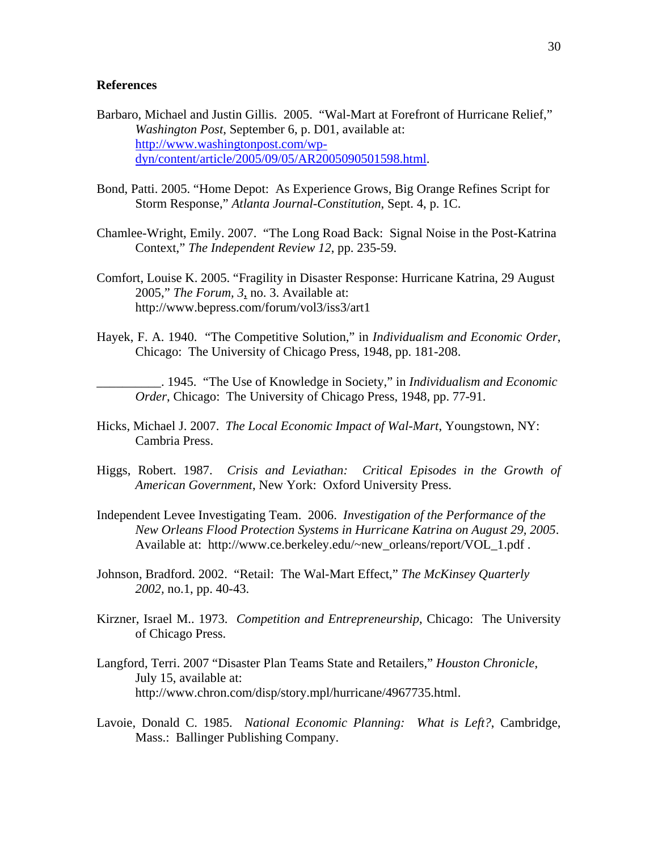### **References**

- Barbaro, Michael and Justin Gillis. 2005. "Wal-Mart at Forefront of Hurricane Relief," *Washington Post*, September 6, p. D01, available at: [http://www.washingtonpost.com/wp](http://www.washingtonpost.com/wp-dyn/content/article/2005/09/05/AR2005090501598.html)[dyn/content/article/2005/09/05/AR2005090501598.html.](http://www.washingtonpost.com/wp-dyn/content/article/2005/09/05/AR2005090501598.html)
- Bond, Patti. 2005. "Home Depot: As Experience Grows, Big Orange Refines Script for Storm Response," *Atlanta Journal-Constitution*, Sept. 4, p. 1C.
- Chamlee-Wright, Emily. 2007. "The Long Road Back: Signal Noise in the Post-Katrina Context," *The Independent Review 12*, pp. 235-59.
- Comfort, Louise K. 2005. "Fragility in Disaster Response: Hurricane Katrina, 29 August 2005," *The Forum, 3*, no. 3. Available at: http://www.bepress.com/forum/vol3/iss3/art1
- Hayek, F. A. 1940. "The Competitive Solution," in *Individualism and Economic Order*, Chicago: The University of Chicago Press, 1948, pp. 181-208.

\_\_\_\_\_\_\_\_\_\_. 1945. "The Use of Knowledge in Society," in *Individualism and Economic Order*, Chicago: The University of Chicago Press, 1948, pp. 77-91.

- Hicks, Michael J. 2007. *The Local Economic Impact of Wal-Mart*, Youngstown, NY: Cambria Press.
- Higgs, Robert. 1987. *Crisis and Leviathan: Critical Episodes in the Growth of American Government*, New York: Oxford University Press.
- Independent Levee Investigating Team. 2006. *Investigation of the Performance of the New Orleans Flood Protection Systems in Hurricane Katrina on August 29, 2005*. Available at: http://www.ce.berkeley.edu/~new\_orleans/report/VOL\_1.pdf .
- Johnson, Bradford. 2002. "Retail: The Wal-Mart Effect," *The McKinsey Quarterly 2002,* no.1, pp. 40-43.
- Kirzner, Israel M.. 1973. *Competition and Entrepreneurship*, Chicago: The University of Chicago Press.
- Langford, Terri. 2007 "Disaster Plan Teams State and Retailers," *Houston Chronicle*, July 15, available at: http://www.chron.com/disp/story.mpl/hurricane/4967735.html.
- Lavoie, Donald C. 1985. *National Economic Planning: What is Left?*, Cambridge, Mass.: Ballinger Publishing Company.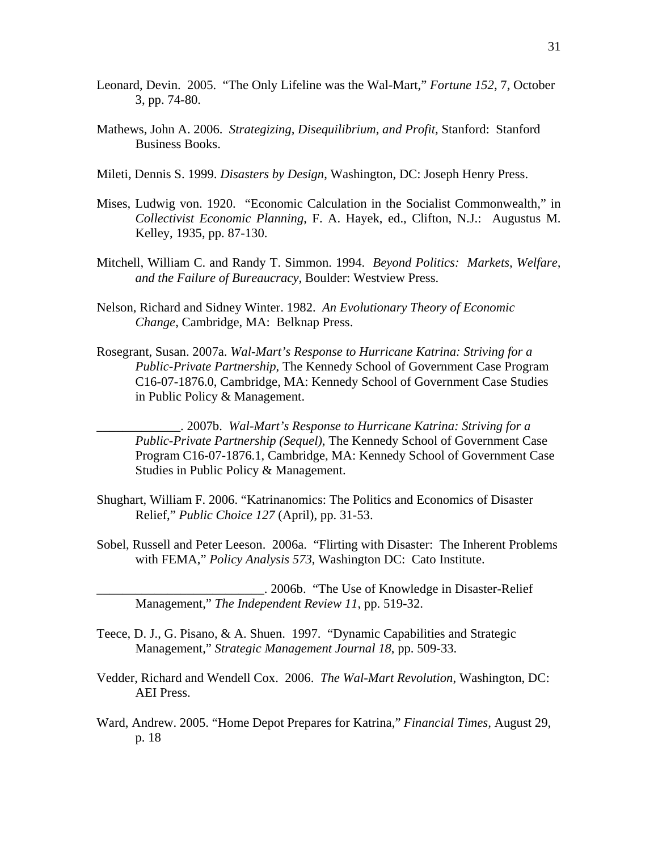- Leonard, Devin. 2005. "The Only Lifeline was the Wal-Mart," *Fortune 152*, 7, October 3, pp. 74-80.
- Mathews, John A. 2006. *Strategizing, Disequilibrium, and Profit,* Stanford: Stanford Business Books.
- Mileti, Dennis S. 1999. *Disasters by Design*, Washington, DC: Joseph Henry Press.
- Mises, Ludwig von. 1920. "Economic Calculation in the Socialist Commonwealth," in *Collectivist Economic Planning*, F. A. Hayek, ed., Clifton, N.J.: Augustus M. Kelley, 1935, pp. 87-130.
- Mitchell, William C. and Randy T. Simmon. 1994. *Beyond Politics: Markets, Welfare, and the Failure of Bureaucracy*, Boulder: Westview Press.
- Nelson, Richard and Sidney Winter. 1982. *An Evolutionary Theory of Economic Change*, Cambridge, MA: Belknap Press.
- Rosegrant, Susan. 2007a. *Wal-Mart's Response to Hurricane Katrina: Striving for a Public-Private Partnership*, The Kennedy School of Government Case Program C16-07-1876.0, Cambridge, MA: Kennedy School of Government Case Studies in Public Policy & Management.

\_\_\_\_\_\_\_\_\_\_\_\_\_. 2007b. *Wal-Mart's Response to Hurricane Katrina: Striving for a Public-Private Partnership (Sequel)*, The Kennedy School of Government Case Program C16-07-1876.1, Cambridge, MA: Kennedy School of Government Case Studies in Public Policy & Management.

- Shughart, William F. 2006. "Katrinanomics: The Politics and Economics of Disaster Relief," *Public Choice 127* (April), pp. 31-53.
- Sobel, Russell and Peter Leeson. 2006a. "Flirting with Disaster: The Inherent Problems with FEMA," *Policy Analysis 573*, Washington DC: Cato Institute.
	- \_\_\_\_\_\_\_\_\_\_\_\_\_\_\_\_\_\_\_\_\_\_\_\_\_\_. 2006b. "The Use of Knowledge in Disaster-Relief Management," *The Independent Review 11*, pp. 519-32.
- Teece, D. J., G. Pisano, & A. Shuen. 1997. "Dynamic Capabilities and Strategic Management," *Strategic Management Journal 18*, pp. 509-33.
- Vedder, Richard and Wendell Cox. 2006. *The Wal-Mart Revolution*, Washington, DC: AEI Press.
- Ward, Andrew. 2005. "Home Depot Prepares for Katrina," *Financial Times,* August 29, p. 18